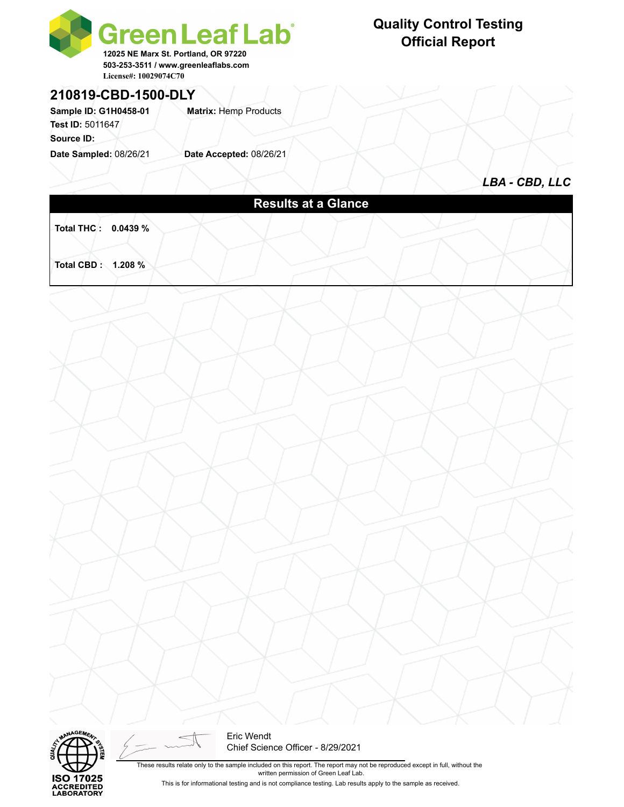

#### **210819-CBD-1500-DLY**

Sample ID: G1H0458-01 **Matrix: Hemp Products Test ID:** 5011647

**Source ID:** 

**Date Sampled:** 08/26/21 **Date Accepted:** 08/26/21

#### **Quality Control Testing Official Report**

*LBA - CBD, LLC*

## **Results at a Glance**

**Total THC : 0.0439 %** 

**Total CBD : 1.208 %** 





These results relate only to the sample included on this report. The report may not be reproduced except in full, without the written permission of Green Leaf Lab.

This is for informational testing and is not compliance testing. Lab results apply to the sample as received.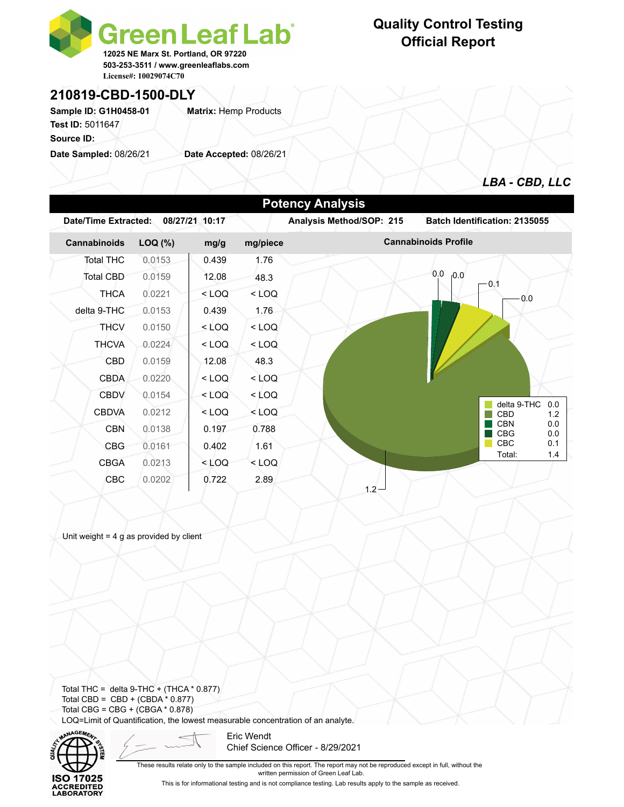

#### **210819-CBD-1500-DLY**

Sample ID: G1H0458-01 **Matrix: Hemp Products Test ID:** 5011647

**Source ID:** 

**Date Sampled:** 08/26/21 **Date Accepted:** 08/26/21

#### **Quality Control Testing Official Report**



| <b>Potency Analysis</b> |                 |                |         |                             |                                        |  |  |  |  |  |  |
|-------------------------|-----------------|----------------|---------|-----------------------------|----------------------------------------|--|--|--|--|--|--|
| Date/Time Extracted:    |                 | 08/27/21 10:17 |         | Analysis Method/SOP: 215    | Batch Identification: 2135055          |  |  |  |  |  |  |
| Cannabinoids            | LOQ (%)<br>mg/g |                |         | <b>Cannabinoids Profile</b> |                                        |  |  |  |  |  |  |
| <b>Total THC</b>        | 0.0153          | 0.439          | 1.76    |                             |                                        |  |  |  |  |  |  |
| Total CBD               | 0.0159          | 12.08          | 48.3    |                             | 0.0<br>0.0<br>$-0.1$                   |  |  |  |  |  |  |
| <b>THCA</b>             | 0.0221          | $<$ LOQ        | $<$ LOQ |                             | 0.0                                    |  |  |  |  |  |  |
| delta 9-THC             | 0.0153          | 0.439          | 1.76    |                             |                                        |  |  |  |  |  |  |
| <b>THCV</b>             | 0.0150          | $<$ LOQ        | $<$ LOQ |                             |                                        |  |  |  |  |  |  |
| <b>THCVA</b>            | 0.0224          | $<$ LOQ        | $<$ LOQ |                             |                                        |  |  |  |  |  |  |
| CBD                     | 0.0159          | 12.08          | 48.3    |                             |                                        |  |  |  |  |  |  |
| <b>CBDA</b>             | 0.0220          | $<$ LOQ        | $<$ LOQ |                             |                                        |  |  |  |  |  |  |
| <b>CBDV</b>             | 0.0154          | $<$ LOQ        | $<$ LOQ |                             |                                        |  |  |  |  |  |  |
| <b>CBDVA</b>            | 0.0212          | $<$ LOQ        | $<$ LOQ |                             | delta 9-THC<br>0.0<br>CBD<br>1.2       |  |  |  |  |  |  |
| <b>CBN</b>              | 0.0138          | 0.197          | 0.788   |                             | <b>CBN</b><br>0.0<br><b>CBG</b><br>0.0 |  |  |  |  |  |  |
| <b>CBG</b>              | 0.0161          | 0.402          | 1.61    |                             | CBC<br>0.1                             |  |  |  |  |  |  |
| <b>CBGA</b>             | 0.0213          | $<$ LOQ        | $<$ LOQ |                             | Total:<br>1.4                          |  |  |  |  |  |  |
| <b>CBC</b>              | 0.0202          | 0.722          | 2.89    | $1.2 -$                     |                                        |  |  |  |  |  |  |

Unit weight  $= 4$  g as provided by client

Total THC = delta  $9$ -THC + (THCA  $*$  0.877) Total CBD =  $CBD + (CBDA * 0.877)$ Total CBG = CBG + (CBGA \* 0.878) LOQ=Limit of Quantification, the lowest measurable concentration of an analyte.



Eric Wendt Chief Science Officer - 8/29/2021

These results relate only to the sample included on this report. The report may not be reproduced except in full, without the written permission of Green Leaf Lab.

This is for informational testing and is not compliance testing. Lab results apply to the sample as received.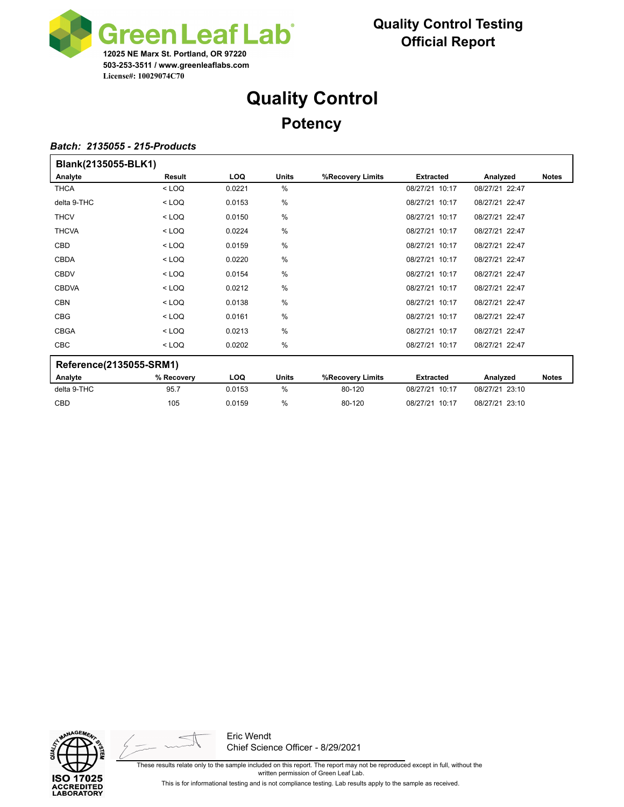

# **Quality Control Potency**

#### *Batch: 2135055 - 215-Products*

| Blank(2135055-BLK1)     |            |            |               |                  |                  |                |              |  |  |
|-------------------------|------------|------------|---------------|------------------|------------------|----------------|--------------|--|--|
| Analyte                 | Result     | <b>LOQ</b> | <b>Units</b>  | %Recovery Limits | <b>Extracted</b> | Analyzed       | <b>Notes</b> |  |  |
| <b>THCA</b>             | $<$ LOQ    | 0.0221     | $\%$          |                  | 08/27/21 10:17   | 08/27/21 22:47 |              |  |  |
| delta 9-THC             | $<$ LOQ    | 0.0153     | %             |                  | 08/27/21 10:17   | 08/27/21 22:47 |              |  |  |
| <b>THCV</b>             | $<$ LOQ    | 0.0150     | %             |                  | 08/27/21 10:17   | 08/27/21 22:47 |              |  |  |
| <b>THCVA</b>            | $<$ LOQ    | 0.0224     | %             |                  | 08/27/21 10:17   | 08/27/21 22:47 |              |  |  |
| <b>CBD</b>              | $<$ LOQ    | 0.0159     | %             |                  | 08/27/21 10:17   | 08/27/21 22:47 |              |  |  |
| <b>CBDA</b>             | $<$ LOQ    | 0.0220     | $\frac{0}{0}$ |                  | 08/27/21 10:17   | 08/27/21 22:47 |              |  |  |
| <b>CBDV</b>             | $<$ LOQ    | 0.0154     | %             |                  | 08/27/21 10:17   | 08/27/21 22:47 |              |  |  |
| <b>CBDVA</b>            | $<$ LOQ    | 0.0212     | %             |                  | 08/27/21 10:17   | 08/27/21 22:47 |              |  |  |
| <b>CBN</b>              | $<$ LOQ    | 0.0138     | %             |                  | 08/27/21 10:17   | 08/27/21 22:47 |              |  |  |
| <b>CBG</b>              | $<$ LOQ    | 0.0161     | %             |                  | 08/27/21 10:17   | 08/27/21 22:47 |              |  |  |
| <b>CBGA</b>             | $<$ LOQ    | 0.0213     | $\%$          |                  | 08/27/21 10:17   | 08/27/21 22:47 |              |  |  |
| <b>CBC</b>              | $<$ LOQ    | 0.0202     | %             |                  | 08/27/21 10:17   | 08/27/21 22:47 |              |  |  |
| Reference(2135055-SRM1) |            |            |               |                  |                  |                |              |  |  |
| Analyte                 | % Recovery | <b>LOQ</b> | <b>Units</b>  | %Recovery Limits | <b>Extracted</b> | Analyzed       | <b>Notes</b> |  |  |
| delta 9-THC             | 95.7       | 0.0153     | %             | 80-120           | 08/27/21 10:17   | 08/27/21 23:10 |              |  |  |

CBD 105 0.0159 % 80-120 08/27/21 10:17 08/27/21 23:10





Eric Wendt Chief Science Officer - 8/29/2021

These results relate only to the sample included on this report. The report may not be reproduced except in full, without the written permission of Green Leaf Lab.

This is for informational testing and is not compliance testing. Lab results apply to the sample as received.